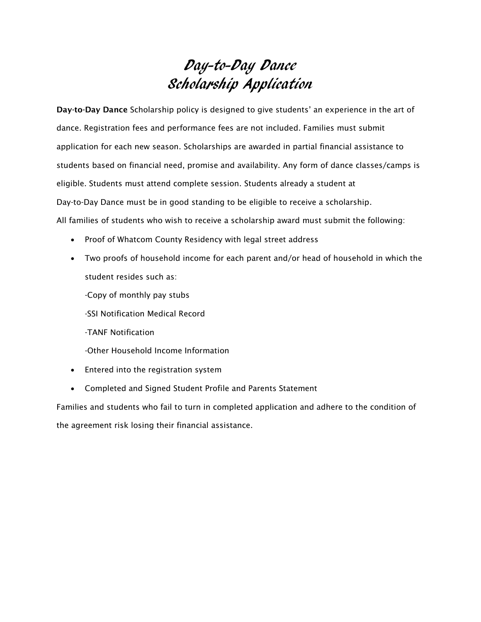## Day-to-Day Dance Scholarship Application

**Day-to-Day Dance** Scholarship policy is designed to give students' an experience in the art of dance. Registration fees and performance fees are not included. Families must submit application for each new season. Scholarships are awarded in partial financial assistance to students based on financial need, promise and availability. Any form of dance classes/camps is eligible. Students must attend complete session. Students already a student at Day-to-Day Dance must be in good standing to be eligible to receive a scholarship. All families of students who wish to receive a scholarship award must submit the following:

- Proof of Whatcom County Residency with legal street address
- Two proofs of household income for each parent and/or head of household in which the student resides such as:
	- -Copy of monthly pay stubs
	- -SSI Notification Medical Record
	- -TANF Notification
	- -Other Household Income Information
- Entered into the registration system
- Completed and Signed Student Profile and Parents Statement

Families and students who fail to turn in completed application and adhere to the condition of the agreement risk losing their financial assistance.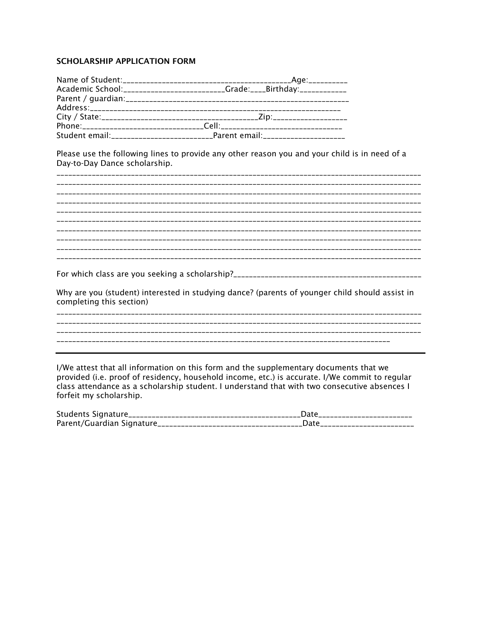## **SCHOLARSHIP APPLICATION FORM**

| Academic School:__________________________Grade:_____Birthday:__________________ |
|----------------------------------------------------------------------------------|
|                                                                                  |
|                                                                                  |
|                                                                                  |
|                                                                                  |
|                                                                                  |

Please use the following lines to provide any other reason you and your child is in need of a Day-to-Day Dance scholarship.

| Why are you (student) interested in studying dance? (parents of younger child should assist in<br>completing this section) |
|----------------------------------------------------------------------------------------------------------------------------|
|                                                                                                                            |
|                                                                                                                            |
|                                                                                                                            |
|                                                                                                                            |

I/We attest that all information on this form and the supplementary documents that we provided (i.e. proof of residency, household income, etc.) is accurate. I/We commit to regular class attendance as a scholarship student. I understand that with two consecutive absences I forfeit my scholarship.

| Students Signature__ |                      |
|----------------------|----------------------|
|                      | ____________________ |